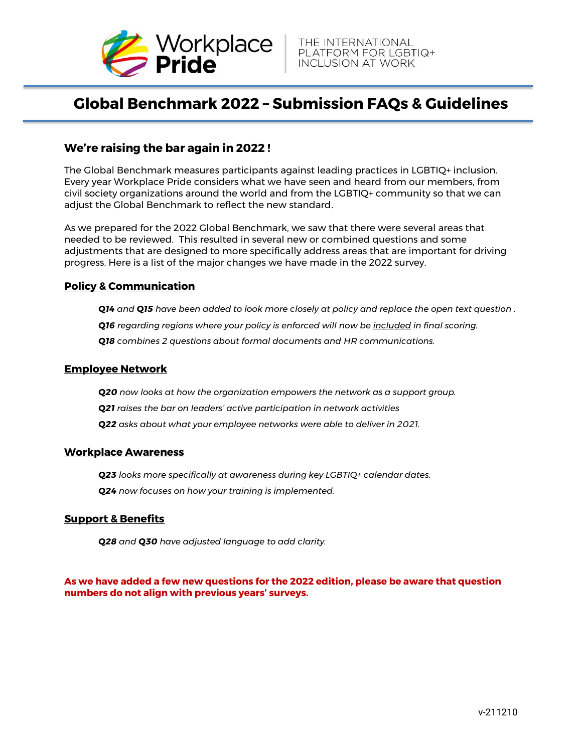

# **Global Benchmark 2022 – Submission FAQs & Guidelines**

## **We're raising the bar again in 2022 !**

The Global Benchmark measures participants against leading practices in LGBTIQ+ inclusion. Every year Workplace Pride considers what we have seen and heard from our members, from civil society organizations around the world and from the LGBTIQ+ community so that we can adjust the Global Benchmark to reflect the new standard.

As we prepared for the 2022 Global Benchmark, we saw that there were several areas that needed to be reviewed. This resulted in several new or combined questions and some adjustments that are designed to more specifically address areas that are important for driving progress. Here is a list of the major changes we have made in the 2022 survey.

#### **Policy & Communication**

*Q14 and Q15 have been added to look more closely at policy and replace the open text question .*

*Q16 regarding regions where your policy is enforced will now be included in final scoring.*

*Q18 combines 2 questions about formal documents and HR communications.*

#### **Employee Network**

*Q20 now looks at how the organization empowers the network as a support group.*

*Q21 raises the bar on leaders' active participation in network activities*

*Q22 asks about what your employee networks were able to deliver in 2021.* 

#### **Workplace Awareness**

*Q23 looks more specifically at awareness during key LGBTIQ+ calendar dates. Q24 now focuses on how your training is implemented.*

#### **Support & Benefits**

*Q28 and Q30 have adjusted language to add clarity.*

#### **As we have added a few new questions for the 2022 edition, please be aware that question numbers do not align with previous years' surveys.**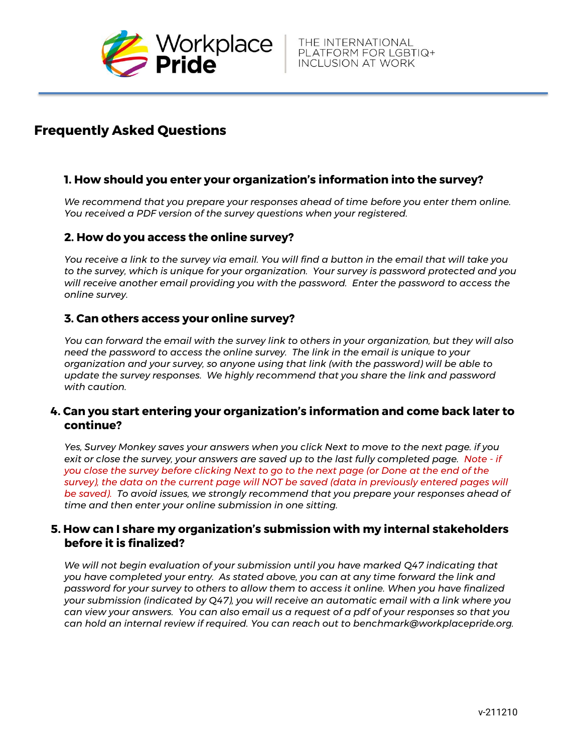

## **Frequently Asked Questions**

## **1. How should you enter your organization's information into the survey?**

*We recommend that you prepare your responses ahead of time before you enter them online. You received a PDF version of the survey questions when your registered.*

#### **2. How do you access the online survey?**

*You receive a link to the survey via email. You will find a button in the email that will take you to the survey, which is unique for your organization. Your survey is password protected and you will receive another email providing you with the password. Enter the password to access the online survey.*

#### **3. Can others access your online survey?**

*You can forward the email with the survey link to others in your organization, but they will also need the password to access the online survey. The link in the email is unique to your organization and your survey, so anyone using that link (with the password) will be able to update the survey responses. We highly recommend that you share the link and password with caution.*

#### **4. Can you start entering your organization's information and come back later to continue?**

*Yes, Survey Monkey saves your answers when you click Next to move to the next page. if you exit or close the survey, your answers are saved up to the last fully completed page. Note - if you close the survey before clicking Next to go to the next page (or Done at the end of the survey), the data on the current page will NOT be saved (data in previously entered pages will be saved). To avoid issues, we strongly recommend that you prepare your responses ahead of time and then enter your online submission in one sitting.*

#### **5. How can I share my organization's submission with my internal stakeholders before it is finalized?**

*We will not begin evaluation of your submission until you have marked Q47 indicating that you have completed your entry. As stated above, you can at any time forward the link and password for your survey to others to allow them to access it online. When you have finalized your submission (indicated by Q47), you will receive an automatic email with a link where you can view your answers. You can also email us a request of a pdf of your responses so that you can hold an internal review if required. You can reach out to benchmark@workplacepride.org.*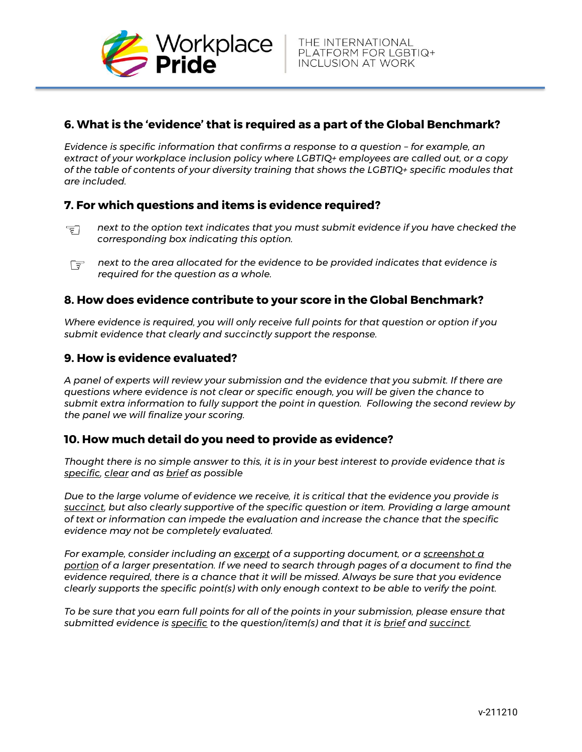

## **6. What is the 'evidence' that is required as a part of the Global Benchmark?**

*Evidence is specific information that confirms a response to a question - for example, an extract of your workplace inclusion policy where LGBTIQ+ employees are called out, or a copy of the table of contents of your diversity training that shows the LGBTIQ+ specific modules that are included.*

#### **7. For which questions and items is evidence required?**

- 同 *next to the option text indicates that you must submit evidence if you have checked the corresponding box indicating this option.*
- *next to the area allocated for the evidence to be provided indicates that evidence is*  一 *required for the question as a whole.*

#### **8. How does evidence contribute to your score in the Global Benchmark?**

*Where evidence is required, you will only receive full points for that question or option if you submit evidence that clearly and succinctly support the response.* 

#### **9. How is evidence evaluated?**

*A panel of experts will review your submission and the evidence that you submit. If there are questions where evidence is not clear or specific enough, you will be given the chance to submit extra information to fully support the point in question. Following the second review by the panel we will finalize your scoring.*

#### **10. How much detail do you need to provide as evidence?**

*Thought there is no simple answer to this, it is in your best interest to provide evidence that is specific, clear and as brief as possible* 

*Due to the large volume of evidence we receive, it is critical that the evidence you provide is succinct, but also clearly supportive of the specific question or item. Providing a large amount of text or information can impede the evaluation and increase the chance that the specific evidence may not be completely evaluated.* 

*For example, consider including an excerpt of a supporting document, or a screenshot a portion of a larger presentation. If we need to search through pages of a document to find the evidence required, there is a chance that it will be missed. Always be sure that you evidence clearly supports the specific point(s) with only enough context to be able to verify the point.* 

*To be sure that you earn full points for all of the points in your submission, please ensure that submitted evidence is specific to the question/item(s) and that it is brief and succinct.*